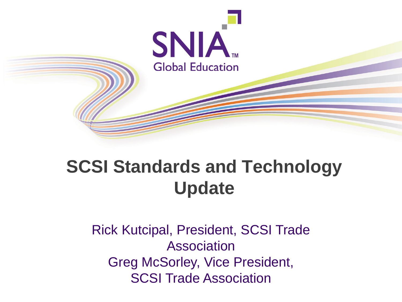

# **SCSI Standards and Technology Update**

Rick Kutcipal, President, SCSI Trade Association Greg McSorley, Vice President, SCSI Trade Association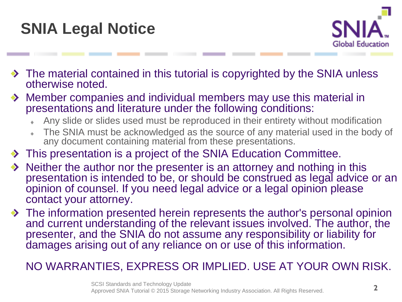



- The material contained in this tutorial is copyrighted by the SNIA unless otherwise noted.
- Member companies and individual members may use this material in presentations and literature under the following conditions:
	- Any slide or slides used must be reproduced in their entirety without modification
	- The SNIA must be acknowledged as the source of any material used in the body of any document containing material from these presentations.
- $\rightarrow$  This presentation is a project of the SNIA Education Committee.
- Neither the author nor the presenter is an attorney and nothing in this presentation is intended to be, or should be construed as legal advice or an opinion of counsel. If you need legal advice or a legal opinion please contact your attorney.
- ◆ The information presented herein represents the author's personal opinion and current understanding of the relevant issues involved. The author, the presenter, and the SNIA do not assume any responsibility or liability for damages arising out of any reliance on or use of this information.

### NO WARRANTIES, EXPRESS OR IMPLIED. USE AT YOUR OWN RISK.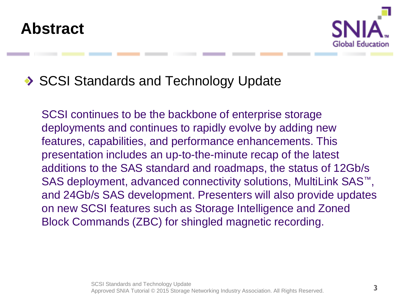

### SCSI Standards and Technology Update

SCSI continues to be the backbone of enterprise storage deployments and continues to rapidly evolve by adding new features, capabilities, and performance enhancements. This presentation includes an up-to-the-minute recap of the latest additions to the SAS standard and roadmaps, the status of 12Gb/s SAS deployment, advanced connectivity solutions, MultiLink SAS<sup>™</sup>, and 24Gb/s SAS development. Presenters will also provide updates on new SCSI features such as Storage Intelligence and Zoned Block Commands (ZBC) for shingled magnetic recording.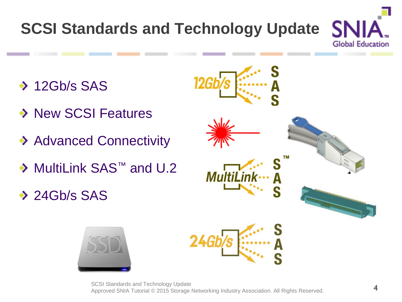# **SCSI Standards and Technology Update**

- ◆ 12Gb/s SAS
- ◆ New SCSI Features
- ◆ Advanced Connectivity
- ◆ MultiLink SAS<sup>™</sup> and U.2
- $\rightarrow$  24Gb/s SAS



SN

**Global Education** 

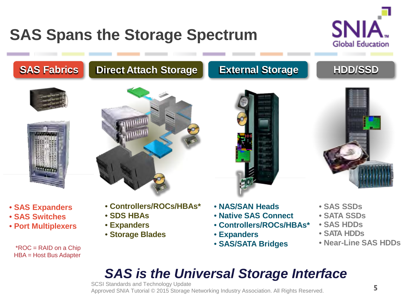# **SAS Spans the Storage Spectrum**



### **SAS Fabrics Direct Attach Storage External Storage HDD/SSD**





• **SAS Expanders** • **SAS Switches** • **Port Multiplexers**

\*ROC = RAID on a Chip HBA = Host Bus Adapter



- **Controllers/ROCs/HBAs\***
- **SDS HBAs**
- **Expanders**
- **Storage Blades**





- **NAS/SAN Heads**
- **Native SAS Connect**
- **Controllers/ROCs/HBAs\***
- **Expanders**
- **SAS/SATA Bridges**
- **SAS SSDs**
- **SATA SSDs**
- **SAS HDDs**
- **SATA HDDs**
- **Near-Line SAS HDDs**

### *SAS is the Universal Storage Interface*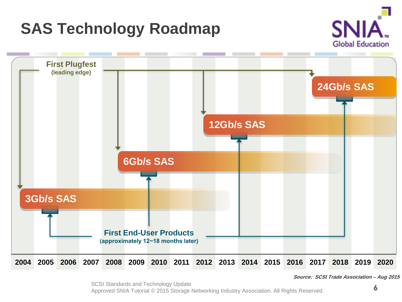

**Source: SCSI Trade Association – Aug 2015**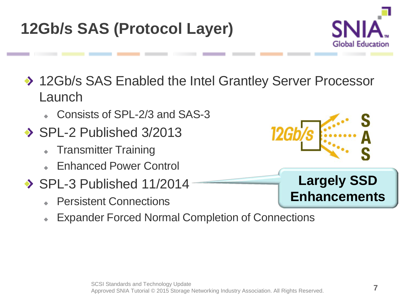# **12Gb/s SAS (Protocol Layer)**

◆ 12Gb/s SAS Enabled the Intel Grantley Server Processor Launch

- Consists of SPL-2/3 and SAS-3
- $\rightarrow$  SPL-2 Published 3/2013
	- Transmitter Training
	- Enhanced Power Control
- $\rightarrow$  SPL-3 Published 11/2014
	- Persistent Connections
	- Expander Forced Normal Completion of Connections



### **Largely SSD Enhancements**

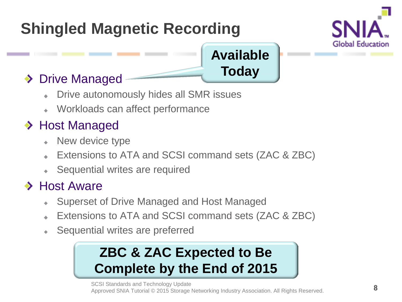# **Shingled Magnetic Recording**



## **Available Today**

### ◆ Drive Managed

- Drive autonomously hides all SMR issues
- Workloads can affect performance  $\ddot{\bullet}$

### ◆ Host Managed

- New device type
- Extensions to ATA and SCSI command sets (ZAC & ZBC)
- Sequential writes are required

### **→ Host Aware**

- Superset of Drive Managed and Host Managed ۰
- Extensions to ATA and SCSI command sets (ZAC & ZBC)
- Sequential writes are preferred  $\bullet$

# **ZBC & ZAC Expected to Be Complete by the End of 2015**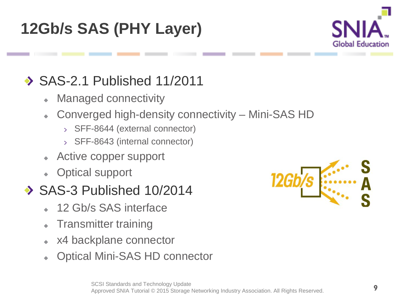# **12Gb/s SAS (PHY Layer)**



# ◆ SAS-2.1 Published 11/2011

- Managed connectivity  $\ddot{\bullet}$
- Converged high-density connectivity Mini-SAS HD
	- > SFF-8644 (external connector)
	- SFF-8643 (internal connector)
- Active copper support
- Optical support

### SAS-3 Published 10/2014

- 12 Gb/s SAS interface
- Transmitter training
- x4 backplane connector
- Optical Mini-SAS HD connector

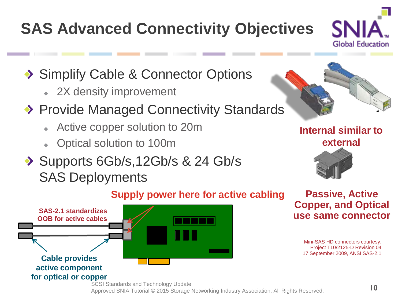# **SAS Advanced Connectivity Objectives**



- ◆ Simplify Cable & Connector Options
	- 2X density improvement
- ◆ Provide Managed Connectivity Standards
	- Active copper solution to 20m
	- Optical solution to 100m
- Supports 6Gb/s, 12Gb/s & 24 Gb/s SAS Deployments



**Internal similar to external**



#### **Supply power here for active cabling**



**Passive, Active Copper, and Optical use same connector**

> Mini-SAS HD connectors courtesy: Project T10/2125-D Revision 04 17 September 2009, ANSI SAS-2.1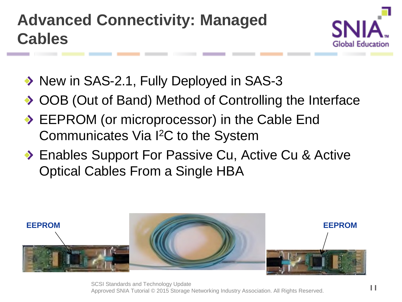

- ◆ New in SAS-2.1, Fully Deployed in SAS-3
- ◆ OOB (Out of Band) Method of Controlling the Interface
- ◆ EEPROM (or microprocessor) in the Cable End Communicates Via I2C to the System
- ◆ Enables Support For Passive Cu, Active Cu & Active Optical Cables From a Single HBA

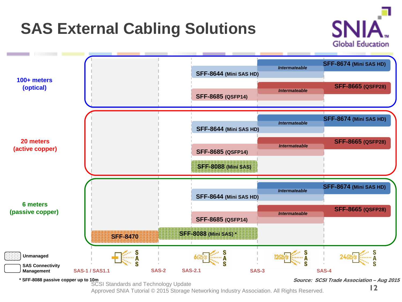# **SAS External Cabling Solutions**





**\* SFF-8088 passive copper up to 10m**

SCSI Standards and Technology Update

**Source: SCSI Trade Association – Aug 2015**

Approved SNIA Tutorial © 2015 Storage Networking Industry Association. All Rights Reserved.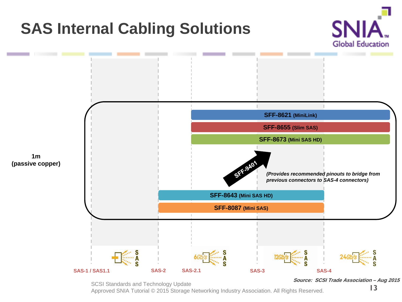# **SAS Internal Cabling Solutions**





SCSI Standards and Technology Update

Approved SNIA Tutorial © 2015 Storage Networking Industry Association. All Rights Reserved.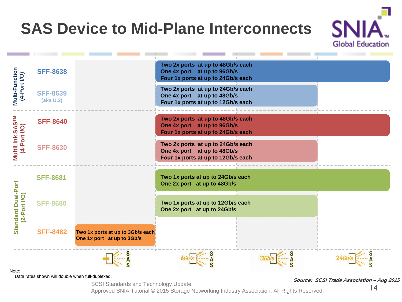# **SAS Device to Mid-Plane Interconnects**



Note:<br>Data rates shown will double when full-duplexed.

SCSI Standards and Technology Update

Source: SCSI Trade Association – Aug 2015

**Global Education** 

Approved SNIA Tutorial © 2015 Storage Networking Industry Association. All Rights Reserved.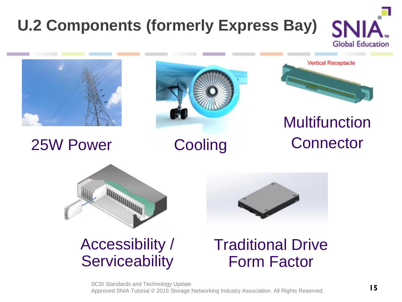### **U.2 Components (formerly Express Bay)Global Education**



# 25W Power Cooling





# Multifunction **Connector**



### Accessibility / **Serviceability**



# Traditional Drive Form Factor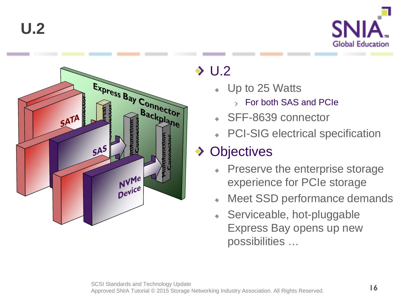



## $\rightarrow$  U.2

- Up to 25 Watts
	- For both SAS and PCIe
- SFF-8639 connector
- PCI-SIG electrical specification

### ◆ Objectives

- Preserve the enterprise storage experience for PCIe storage
- Meet SSD performance demands
- Serviceable, hot-pluggable Express Bay opens up new possibilities …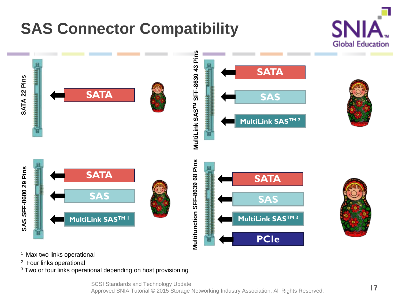# **SAS Connector Compatibility**





- <sup>1</sup> Max two links operational
- 
- $2$  Four links operational<br> $3$  Two or four links operational depending on host provisioning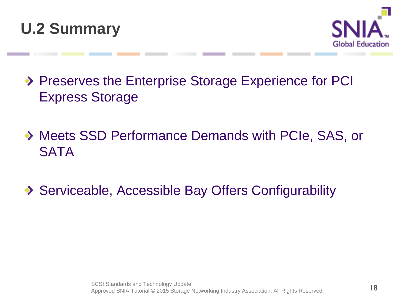



- ◆ Preserves the Enterprise Storage Experience for PCI Express Storage
- Meets SSD Performance Demands with PCIe, SAS, or **SATA**
- ◆ Serviceable, Accessible Bay Offers Configurability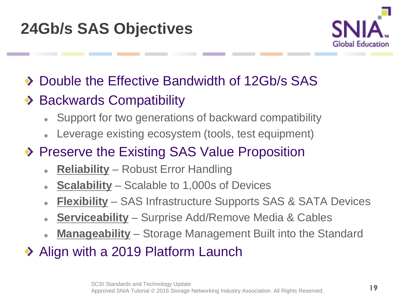

- Double the Effective Bandwidth of 12Gb/s SAS  $\bullet$
- ◆ Backwards Compatibility
	- Support for two generations of backward compatibility  $\bullet$
	- Leverage existing ecosystem (tools, test equipment)
- ◆ Preserve the Existing SAS Value Proposition
	- **Reliability** Robust Error Handling
	- **Scalability** Scalable to 1,000s of Devices
	- **Flexibility** SAS Infrastructure Supports SAS & SATA Devices  $\ddot{\bullet}$
	- **Serviceability** Surprise Add/Remove Media & Cables
	- **Manageability** Storage Management Built into the Standard  $\ddot{\bullet}$
- ◆ Align with a 2019 Platform Launch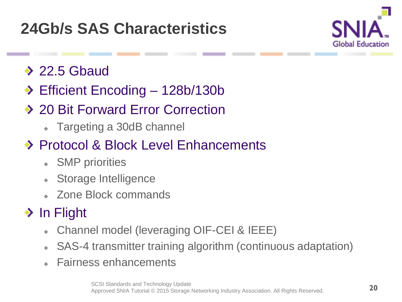# **24Gb/s SAS Characteristics**



- $\rightarrow$  22.5 Gbaud
- ◆ Efficient Encoding 128b/130b
- ◆ 20 Bit Forward Error Correction
	- Targeting a 30dB channel
- ◆ Protocol & Block Level Enhancements
	- SMP priorities
	- Storage Intelligence  $\bullet$
	- Zone Block commands

# $\rightarrow$  In Flight

- Channel model (leveraging OIF-CEI & IEEE) ٠
- SAS-4 transmitter training algorithm (continuous adaptation)  $\bullet$
- Fairness enhancements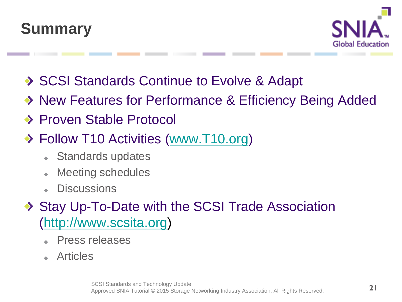



- ◆ SCSI Standards Continue to Evolve & Adapt
- ◆ New Features for Performance & Efficiency Being Added
- ◆ Proven Stable Protocol
- ◆ Follow T10 Activities ([www.T10.org\)](http://www.t10.org/)
	- Standards updates
	- Meeting schedules  $\ddot{\bullet}$
	- **Discussions**
- ◆ Stay Up-To-Date with the SCSI Trade Association [\(http://www.scsita.org\)](http://www.scsita.org/)
	- Press releases
	- Articles